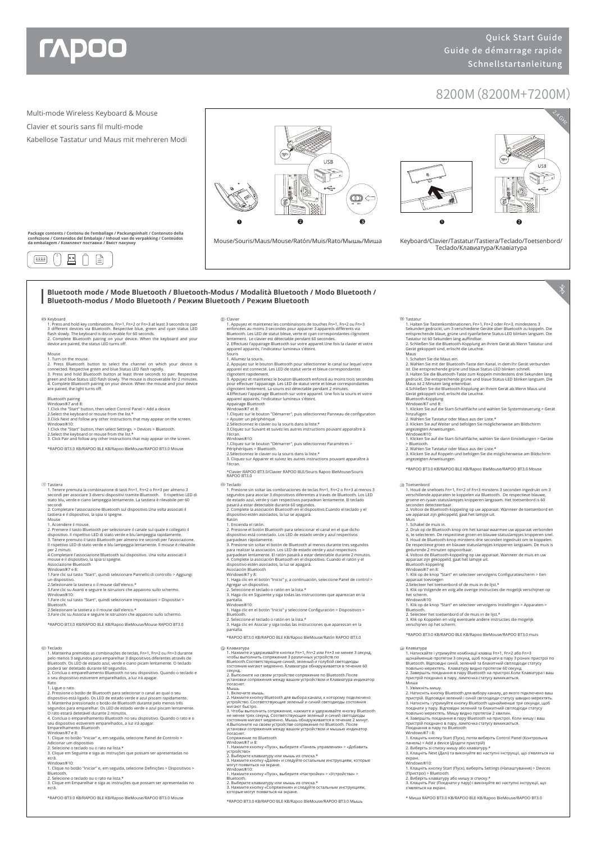

## 8200M(8200M+7200M)

2. Виберіть клавіатуру або мишу зі списку.\* 3. Клацніть Pair (Поєднати у пару) і виконуйте всі наступні інструкції, що з'являться на екрані. \* Миша RAPOO BT3.0 KB/RAPOO BLE KB/Rapoo BleMouse/RAPOO BT3.0



Windows®10: 1. Нажмите кнопку «Пуск», выберите «Настройки» > «Устройства» > Bluetooth.<br>2. Выберите клавиатуру или мышь из списка.\*<br>3. Нажмите кнопку «Сопряжение» и следуйте остальным инструкциям,<br>которые могут появиться на экране. \*RAPOO BT3.0 KB/RAPOO BLE KB/Rapoo BleMouse/RAPOO BT3.0 Мышь

\*RAPOO BT3.0 KB/RAPOO BLE KB/Rapoo BleMouse/RAPOO BT3.0 Mouse

<sup>2.</sup> Selecione o teclado ou o rato na lista.\* 3. Clique em Emparelhar e siga as instruções que possam ser apresentadas no ecrã.